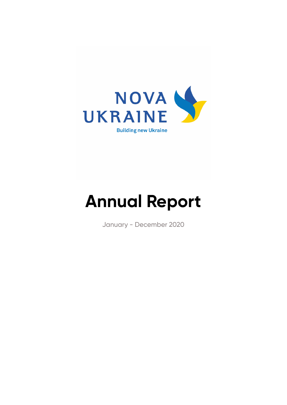

## **Annual Report**

January - December 2020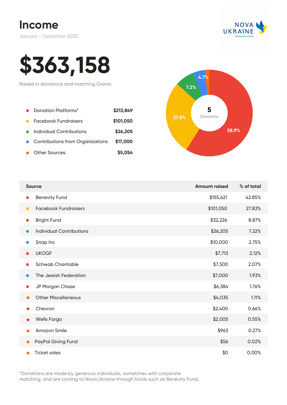



# **\$363,158**

Raised in donations and matching Grants

| Donation Platforms*                | \$213,849 |       | 5     |
|------------------------------------|-----------|-------|-------|
| <b>Facebook Fundraisers</b>        | \$101,050 | 27.8% | Donat |
| Individual Contributions           | \$26,205  |       |       |
| • Contributions from Organizations | \$17,000  |       |       |
| <b>Other Sources</b>               | \$5,054   |       |       |



| <b>Source</b>                            | <b>Amount raised</b> | % of total |
|------------------------------------------|----------------------|------------|
| <b>Benevity Fund</b><br>0                | \$155,621            | 42.85%     |
| <b>Facebook Fundraisers</b><br>$\bullet$ | \$101,050            | 27.83%     |
| <b>Bright Fund</b><br>$\bullet$          | \$32,226             | 8.87%      |
| <b>Individual Contributions</b>          | \$26,205             | 7.22%      |
| Snap Inc                                 | \$10,000             | 2.75%      |
| <b>UKOGF</b><br>$\bullet$                | \$7,713              | 2.12%      |
| <b>Schwab Charitable</b>                 | \$7,500              | 2.07%      |
| The Jewish Federation<br>0               | \$7,000              | 1.93%      |
| JP Morgan Chase<br>0                     | \$6,384              | 1.76%      |
| <b>Other Miscellaneous</b>               | \$4,035              | 1.11%      |
| Chevron                                  | \$2,400              | 0.66%      |
| <b>Wells Fargo</b><br>●                  | \$2,005              | 0.55%      |
| <b>Amazon Smile</b>                      | \$963                | 0.27%      |
| PayPal Giving Fund                       | \$56                 | 0.02%      |
| <b>Ticket sales</b>                      | \$0                  | 0.00%      |

\*Donations are made by generous individuals, sometimes with corporate matching, and are coming to Nova Ukraine through funds such as Benevity Fund.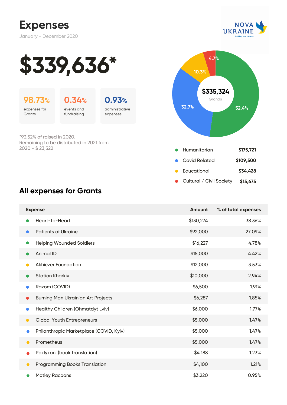



**32.7% 52.4%**

Humanitarian **\$175,721**

Covid Related **\$109,500**

Educational **\$34,428**

Cultural / Civil Society **\$15,675**

 $\bullet$ 

Grands **\$335,324** 

**4.7%**

**10.3%**





expenses for **Grants** 

events and fundraising



\*93.52% of raised in 2020. Remaining to be distributed in 2021 from 2020 - \$ 23,522

#### **All expenses for Grants**

| <b>Expense</b> |                                           | Amount    | % of total expenses |
|----------------|-------------------------------------------|-----------|---------------------|
|                | Heart-to-Heart                            | \$130,274 | 38.36%              |
| $\bullet$      | <b>Patients of Ukraine</b>                | \$92,000  | 27.09%              |
| 0              | <b>Helping Wounded Soldiers</b>           | \$16,227  | 4.78%               |
|                | Animal ID                                 | \$15,000  | 4.42%               |
| $\bullet$      | <b>Akhiezer Foundation</b>                | \$12,000  | 3.53%               |
| $\bullet$      | <b>Station Kharkiv</b>                    | \$10,000  | 2.94%               |
|                | Razom (COVID)                             | \$6,500   | 1.91%               |
| $\bullet$      | <b>Burning Man Ukrainian Art Projects</b> | \$6,287   | 1.85%               |
| $\bullet$      | Healthy Children (Ohmatdyt Lviv)          | \$6,000   | 1.77%               |
| $\bullet$      | <b>Global Youth Entrepreneurs</b>         | \$5,000   | 1.47%               |
| $\bullet$      | Philanthropic Marketplace (COVID, Kyiv)   | \$5,000   | 1.47%               |
| $\bullet$      | Prometheus                                | \$5,000   | 1.47%               |
|                | Poklykani (book translation)              | \$4,188   | 1.23%               |
| $\bullet$      | <b>Programming Books Translation</b>      | \$4,100   | 1.21%               |
|                | <b>Motley Racoons</b>                     | \$3,220   | 0.95%               |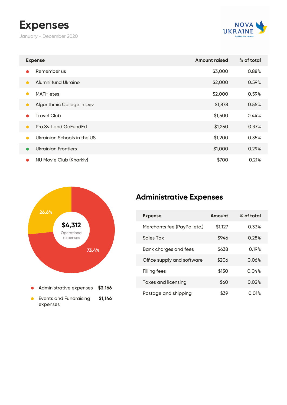### **Expenses**

January - December 2020



| <b>Expense</b>                           | <b>Amount raised</b> | % of total |
|------------------------------------------|----------------------|------------|
| Remember us<br>$\bullet$                 | \$3,000              | 0.88%      |
| Alumni fund Ukraine<br>$\bullet$         | \$2,000              | 0.59%      |
| <b>MATHletes</b><br>$\bullet$            | \$2,000              | 0.59%      |
| Algorithmic College in Lviv<br>$\bullet$ | \$1,878              | 0.55%      |
| <b>Travel Club</b><br>$\bullet$          | \$1,500              | 0.44%      |
| Pro. Svit and GoFundEd<br>$\bullet$      | \$1,250              | 0.37%      |
| Ukrainian Schools in the US<br>$\bullet$ | \$1,200              | 0.35%      |
| Ukrainian Frontiers<br>$\bullet$         | \$1,000              | 0.29%      |
| NU Movie Club (Kharkiv)<br>$\bullet$     | \$700                | 0.21%      |



#### **Administrative Expenses**

| <b>Expense</b>              | Amount  | % of total |
|-----------------------------|---------|------------|
| Merchants fee (PayPal etc.) | \$1,127 | 0.33%      |
| Sales Tax                   | \$946   | 0.28%      |
| Bank charges and fees       | \$638   | 0.19%      |
| Office supply and software  | \$206   | 0.06%      |
| Filling fees                | \$150   | 0.04%      |
| <b>Taxes and licensing</b>  | \$60    | 0.02%      |
| Postage and shipping        | \$39    | 0.01%      |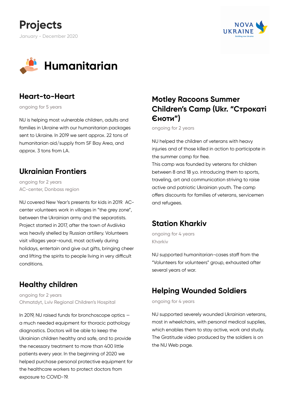





#### **Heart-to-Heart**

ongoing for 5 years

NU is helping most vulnerable children, adults and families in Ukraine with our humanitarian packages sent to Ukraine. In 2019 we sent approx. 22 tons of humanitarian aid/supply from SF Bay Area, and approx. 3 tons from LA.

#### **Ukrainian Frontiers**

ongoing for 2 years AC-center, Donbass region

NU covered New Year's presents for kids in 2019. ACcenter volunteers work in villages in "the grey zone", between the Ukrainian army and the separatists. Project started in 2017, after the town of Avdiivka was heavily shelled by Russian artillery. Volunteers visit villages year-round, most actively during holidays, entertain and give out gifts, bringing cheer and lifting the spirits to people living in very difficult conditions.

#### **Healthy children**

ongoing for 2 years Ohmatdyt, Lviv Regional Children's Hospital

In 2019, NU raised funds for bronchoscope optics a much needed equipment for thoracic pathology diagnostics. Doctors will be able to keep the Ukrainian children healthy and safe, and to provide the necessary treatment to more than 400 little patients every year. In the beginning of 2020 we helped purchase personal protective equipment for the healthcare workers to protect doctors from exposure to COVID-19.

#### **Motley Racoons Summer Children's Camp (Ukr. "Строкаті Єноти")**

ongoing for 2 years

NU helped the children of veterans with heavy injuries and of those killed in action to participate in the summer camp for free.

This camp was founded by veterans for children between 8 and 18 y.o. introducing them to sports, traveling, art and communication striving to raise active and patriotic Ukrainian youth. The camp offers discounts for families of veterans, servicemen and refugees.

#### **Station Kharkiv**

ongoing for 4 years Kharkiv

NU supported humanitarian-cases staff from the "Volunteers for volunteers" group, exhausted after several years of war.

#### **Helping Wounded Soldiers**

ongoing for 4 years

NU supported severely wounded Ukrainian veterans, most in wheelchairs, with personal medical supplies, which enables them to stay active, work and study. The Gratitude video produced by the soldiers is on the NU Web page.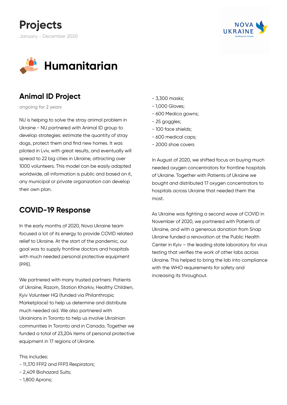





#### **Animal ID Project**

ongoing for 2 years

NU is helping to solve the stray animal problem in Ukraine - NU partnered with Animal ID group to develop strategies: estimate the quantity of stray dogs, protect them and find new homes. It was piloted in Lviv, with great results, and eventually will spread to 22 big cities in Ukraine, attracting over 1000 volunteers. This model can be easily adapted worldwide, all information is public and based on it, any municipal or private organization can develop their own plan.

#### **COVID-19 Response**

In the early months of 2020, Nova Ukraine team focused a lot of its energy to provide COVID related relief to Ukraine. At the start of the pandemic, our goal was to supply frontline doctors and hospitals with much needed personal protective equipment (PPE).

We partnered with many trusted partners: Patients of Ukraine, Razom, Station Kharkiv, Healthy Children, Kyiv Volunteer HQ (funded via Philanthropic Marketplace) to help us determine and distribute much needed aid. We also partnered with Ukrainians in Toronto to help us involve Ukrainian communities in Toronto and in Canada. Together we funded a total of 23,204 items of personal protective equipment in 17 regions of Ukraine.

#### This includes:

- 11,370 FFP2 and FFP3 Respirators;
- 2,409 Biohazard Suits;
- 1,800 Aprons;
- 3,300 masks;
- 1,000 Gloves;
- 600 Medica gowns;
- 25 goggles;
- 100 face shields;
- 600 medical caps;
- 2000 shoe covers

In August of 2020, we shifted focus on buying much needed oxygen concentrators for frontline hospitals of Ukraine. Together with Patients of Ukraine we bought and distributed 17 oxygen concentrators to hospitals across Ukraine that needed them the most.

As Ukraine was fighting a second wave of COVID in November of 2020, we partnered with Patients of Ukraine, and with a generous donation from Snap Ukraine funded a renovation at the Public Health Center in Kyiv – the leading state laboratory for virus testing that verifies the work of other labs across Ukraine. This helped to bring the lab into compliance with the WHO requirements for safety and increasing its throughout.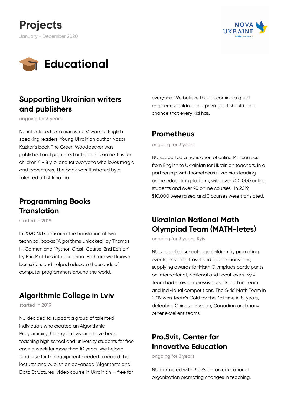





#### **Supporting Ukrainian writers and publishers**

ongoing for 3 years

NU introduced Ukrainian writers' work to English speaking readers. Young Ukrainian author Nazar Kazkar's book The Green Woodpecker was published and promoted outside of Ukraine. It is for children 4 - 8 y. o. and for everyone who loves magic and adventures. The book was illustrated by a talented artist Irina Lib.

#### **Programming Books Translation**

started in 2019

In 2020 NU sponsored the translation of two technical books: "Algorithms Unlocked" by Thomas H. Cormen and "Python Crash Course, 2nd Edition" by Eric Matthes into Ukrainian. Both are well known bestsellers and helped educate thousands of computer programmers around the world.

#### **Algorithmic College in Lviv**

started in 2019

NU decided to support a group of talented individuals who created an Algorithmic Programming College in Lviv and have been teaching high school and university students for free once a week for more than 10 years. We helped fundraise for the equipment needed to record the lectures and publish an advanced "Algorithms and Data Structures" video course in Ukrainian — free for

everyone. We believe that becoming a great engineer shouldn't be a privilege, it should be a chance that every kid has.

#### **Prometheus**

ongoing for 3 years

NU supported a translation of online MIT courses from English to Ukrainian for Ukrainian teachers, in a partnership with Prometheus (Ukrainian leading online education platform, with over 700 000 online students and over 90 online courses. In 2019, \$10,000 were raised and 3 courses were translated.

#### **Ukrainian National Math Olympiad Team (MATH-letes)**

ongoing for 3 years, Kyiv

NU supported school-age children by promoting events, covering travel and applications fees, supplying awards for Math Olympiads participants on International, National and Local levels. Kyiv Team had shown impressive results both in Team and Individual competitions. The Girls' Math Team in 2019 won Team's Gold for the 3rd time in 8-years, defeating Chinese, Russian, Canadian and many other excellent teams!

#### **Pro.Svit, Center for Innovative Education**

ongoing for 3 years

NU partnered with Pro.Svit – an educational organization promoting changes in teaching,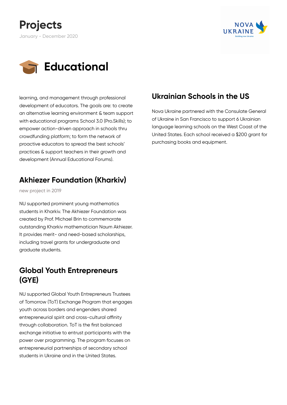





learning, and management through professional development of educators. The goals are: to create an alternative learning environment & team support with educational programs School 3.0 (Pro.Skills); to empower action-driven approach in schools thru crowdfunding platform; to form the network of proactive educators to spread the best schools' practices & support teachers in their growth and development (Annual Educational Forums).

#### **Akhiezer Foundation (Kharkiv)**

new project in 2019

NU supported prominent young mathematics students in Kharkiv. The Akhiezer Foundation was created by Prof. Michael Brin to commemorate outstanding Kharkiv mathematician Naum Akhiezer. It provides merit- and need-based scholarships, including travel grants for undergraduate and graduate students.

#### **Global Youth Entrepreneurs (GYE)**

NU supported Global Youth Entrepreneurs Trustees of Tomorrow (ToT) Exchange Program that engages youth across borders and engenders shared entrepreneurial spirit and cross-cultural affinity through collaboration. ToT is the first balanced exchange initiative to entrust participants with the power over programming. The program focuses on entrepreneurial partnerships of secondary school students in Ukraine and in the United States.

#### **Ukrainian Schools in the US**

Nova Ukraine partnered with the Consulate General of Ukraine in San Francisco to support 6 Ukrainian language learning schools on the West Coast of the United States. Each school received a \$200 grant for purchasing books and equipment.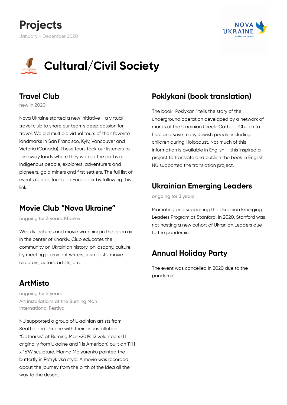





#### **Travel Club**

new in 2020

Nova Ukraine started a new initiative - a virtual travel club to share our team's deep passion for travel. We did multiple virtual tours of their favorite landmarks in San Francisco, Kyiv, Vancouver and Victoria (Canada). These tours took our listeners to far-away lands where they walked the paths of indigenous people, explorers, adventurers and pioneers, gold miners and first settlers. The full list of events can be found on Facebook by following this link.

#### **Movie Club "Nova Ukraine"**

ongoing for 3 years, Kharkiv

Weekly lectures and movie watching in the open air in the center of Kharkiv. Club educates the community on Ukrainian history, philosophy, culture, by meeting prominent writers, journalists, movie directors, actors, artists, etc.

#### **ArtMisto**

ongoing for 2 years Art installations at the Burning Man International Festival

NU supported a group of Ukrainian artists from Seattle and Ukraine with their art installation "Catharsis" at Burning Man-2019. 12 volunteers (11 originally from Ukraine and 1 is American) built an 11'H x 16'W sculpture. Marina Malyarenko painted the butterfly in Petrykivka style. A movie was recorded about the journey from the birth of the idea all the way to the desert.

#### **Poklykani (book translation)**

The book "Poklykani" tells the story of the underground operation developed by a network of monks of the Ukrainian Greek-Catholic Church to hide and save many Jewish people including children during Holocaust. Not much of this information is available in English — this inspired a project to translate and publish the book in English. NU supported the translation project.

#### **Ukrainian Emerging Leaders**

ongoing for 3 years

Promoting and supporting the Ukrainian Emerging Leaders Program at Stanford. In 2020, Stanford was not hosting a new cohort of Ukranian Leaders due to the pandemic.

#### **Annual Holiday Party**

The event was cancelled in 2020 due to the pandemic.